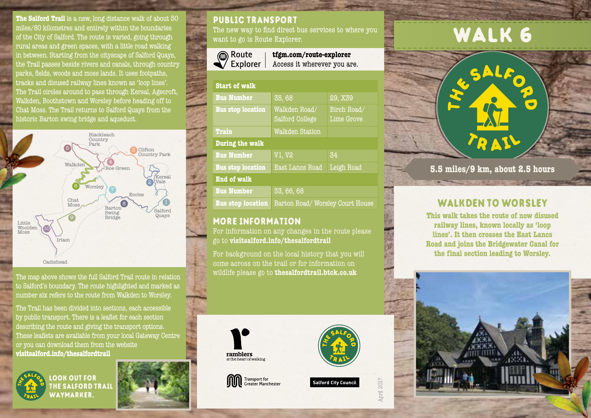**The Salford Trail** is a new, long distance walk of about 50 miles/80 kilometres and entirely within the boundaries of the City of Salford. The route is varied, going through rural areas and green spaces, with a little road walking in between. Starting from the cityscape of Salford Quays, the Trail passes beside rivers and canals, through country parks, fields, woods and moss lands. It uses footpaths, tracks and disused railway lines known as 'loop lines'. The Trail circles around to pass through Kersal, Agecroft, Walkden, Boothstown and Worsley before heading off to Chat Moss. The Trail returns to Salford Quays from the historic Barton swing bridge and aqueduct.



The map above shows the full Salford Trail route in relation to Salford's boundary. The route highlighted and marked as number six refers to the route from Walkden to Worsley.

The Trail has been divided into sections, each accessible by public transport. There is a leaflet for each section describing the route and giving the transport options. These leaflets are available from your local Gateway Centre or you can download them from the website **visitsalford.info/thesalfordtrail**



look out for the salford trail waymarker.



## public transport

The new way to find direct bus services to where you want to go is Route Explorer.

| <b>®</b> Route     |
|--------------------|
| $\sqrt{2}$ Explore |

**tfgm.com/route-explorer** Access it wherever you are. orer l

| <b>Start of walk</b>     |                                  |                           |
|--------------------------|----------------------------------|---------------------------|
| <b>Bus Number</b>        | 35,68                            | 29, X39                   |
| <b>Bus stop location</b> | Walkden Road/<br>Salford College | Birch Road/<br>Lime Grove |
| <b>Train</b>             | Walkden Station                  |                           |
| During the walk          |                                  |                           |
| <b>Bus Number</b>        | <b>V1, V2</b>                    | 34                        |
| <b>Bus stop location</b> | <b>East Lancs Road</b>           | Leigh Road                |
| <b>End of walk</b>       |                                  |                           |
| <b>Bus Number</b>        | 33, 66, 68                       |                           |
| <b>Bus stop location</b> | Barton Road/Worsley Court House  |                           |

### more information

For information on any changes in the route please go to **visitsalford.info/thesalfordtrail**

For background on the local history that you will come across on the trail or for information on wildlife please go to **thesalfordtrail.btck.co.uk**









April 2017

# WALK 6



**5.5 miles/9 km, about 2.5 hours**

## WALKDEN TO WORSLEY

**This walk takes the route of now disused railway lines, known locally as 'loop lines'. It then crosses the East Lancs Road and joins the Bridgewater Canal for the final section leading to Worsley.**